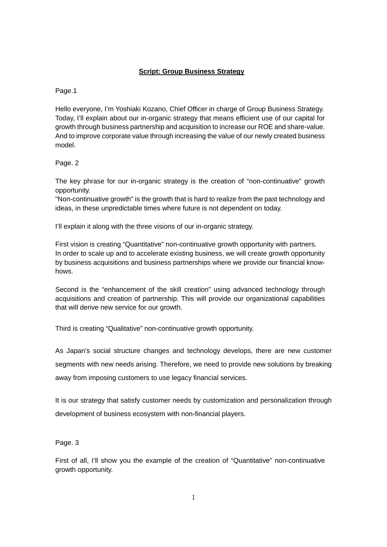## **Script: Group Business Strategy**

Page.1

Hello everyone, I'm Yoshiaki Kozano, Chief Officer in charge of Group Business Strategy. Today, I'll explain about our in-organic strategy that means efficient use of our capital for growth through business partnership and acquisition to increase our ROE and share-value. And to improve corporate value through increasing the value of our newly created business model.

Page. 2

The key phrase for our in-organic strategy is the creation of "non-continuative" growth opportunity.

"Non-continuative growth" is the growth that is hard to realize from the past technology and ideas, in these unpredictable times where future is not dependent on today.

I'll explain it along with the three visions of our in-organic strategy.

First vision is creating "Quantitative" non-continuative growth opportunity with partners. In order to scale up and to accelerate existing business, we will create growth opportunity by business acquisitions and business partnerships where we provide our financial knowhows.

Second is the "enhancement of the skill creation" using advanced technology through acquisitions and creation of partnership. This will provide our organizational capabilities that will derive new service for our growth.

Third is creating "Qualitative" non-continuative growth opportunity.

As Japan's social structure changes and technology develops, there are new customer segments with new needs arising. Therefore, we need to provide new solutions by breaking away from imposing customers to use legacy financial services.

It is our strategy that satisfy customer needs by customization and personalization through development of business ecosystem with non-financial players.

Page. 3

First of all, I'll show you the example of the creation of "Quantitative" non-continuative growth opportunity.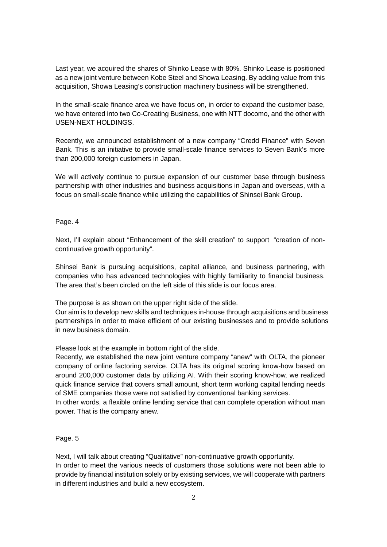Last year, we acquired the shares of Shinko Lease with 80%. Shinko Lease is positioned as a new joint venture between Kobe Steel and Showa Leasing. By adding value from this acquisition, Showa Leasing's construction machinery business will be strengthened.

In the small-scale finance area we have focus on, in order to expand the customer base, we have entered into two Co-Creating Business, one with NTT docomo, and the other with USEN-NEXT HOLDINGS.

Recently, we announced establishment of a new company "Credd Finance" with Seven Bank. This is an initiative to provide small-scale finance services to Seven Bank's more than 200,000 foreign customers in Japan.

We will actively continue to pursue expansion of our customer base through business partnership with other industries and business acquisitions in Japan and overseas, with a focus on small-scale finance while utilizing the capabilities of Shinsei Bank Group.

## Page. 4

Next, I'll explain about "Enhancement of the skill creation" to support "creation of noncontinuative growth opportunity".

Shinsei Bank is pursuing acquisitions, capital alliance, and business partnering, with companies who has advanced technologies with highly familiarity to financial business. The area that's been circled on the left side of this slide is our focus area.

The purpose is as shown on the upper right side of the slide.

Our aim is to develop new skills and techniques in-house through acquisitions and business partnerships in order to make efficient of our existing businesses and to provide solutions in new business domain.

Please look at the example in bottom right of the slide.

Recently, we established the new joint venture company "anew" with OLTA, the pioneer company of online factoring service. OLTA has its original scoring know-how based on around 200,000 customer data by utilizing AI. With their scoring know-how, we realized quick finance service that covers small amount, short term working capital lending needs of SME companies those were not satisfied by conventional banking services.

In other words, a flexible online lending service that can complete operation without man power. That is the company anew.

## Page. 5

Next, I will talk about creating "Qualitative" non-continuative growth opportunity. In order to meet the various needs of customers those solutions were not been able to provide by financial institution solely or by existing services, we will cooperate with partners in different industries and build a new ecosystem.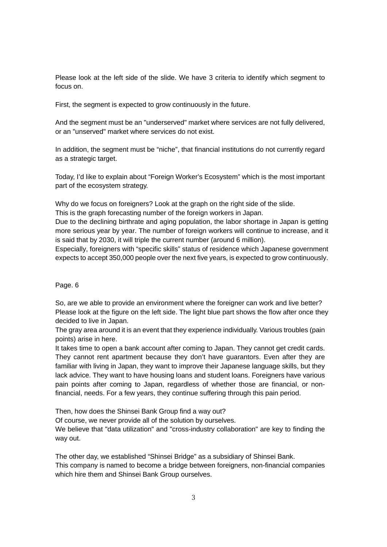Please look at the left side of the slide. We have 3 criteria to identify which segment to focus on.

First, the segment is expected to grow continuously in the future.

And the segment must be an "underserved" market where services are not fully delivered, or an "unserved" market where services do not exist.

In addition, the segment must be "niche", that financial institutions do not currently regard as a strategic target.

Today, I'd like to explain about "Foreign Worker's Ecosystem" which is the most important part of the ecosystem strategy.

Why do we focus on foreigners? Look at the graph on the right side of the slide.

This is the graph forecasting number of the foreign workers in Japan.

Due to the declining birthrate and aging population, the labor shortage in Japan is getting more serious year by year. The number of foreign workers will continue to increase, and it is said that by 2030, it will triple the current number (around 6 million).

Especially, foreigners with "specific skills" status of residence which Japanese government expects to accept 350,000 people over the next five years, is expected to grow continuously.

Page. 6

So, are we able to provide an environment where the foreigner can work and live better? Please look at the figure on the left side. The light blue part shows the flow after once they decided to live in Japan.

The gray area around it is an event that they experience individually. Various troubles (pain points) arise in here.

It takes time to open a bank account after coming to Japan. They cannot get credit cards. They cannot rent apartment because they don't have guarantors. Even after they are familiar with living in Japan, they want to improve their Japanese language skills, but they lack advice. They want to have housing loans and student loans. Foreigners have various pain points after coming to Japan, regardless of whether those are financial, or nonfinancial, needs. For a few years, they continue suffering through this pain period.

Then, how does the Shinsei Bank Group find a way out?

Of course, we never provide all of the solution by ourselves.

We believe that "data utilization" and "cross-industry collaboration" are key to finding the way out.

The other day, we established "Shinsei Bridge" as a subsidiary of Shinsei Bank. This company is named to become a bridge between foreigners, non-financial companies which hire them and Shinsei Bank Group ourselves.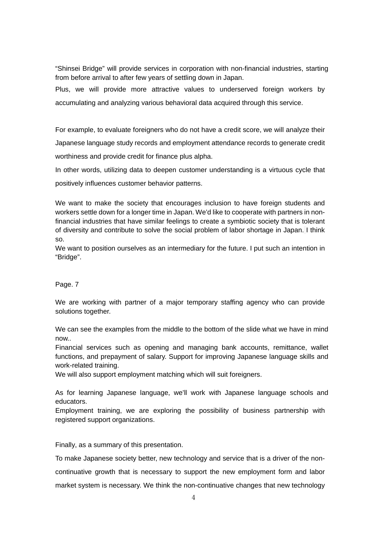"Shinsei Bridge" will provide services in corporation with non-financial industries, starting from before arrival to after few years of settling down in Japan.

Plus, we will provide more attractive values to underserved foreign workers by accumulating and analyzing various behavioral data acquired through this service.

For example, to evaluate foreigners who do not have a credit score, we will analyze their Japanese language study records and employment attendance records to generate credit worthiness and provide credit for finance plus alpha.

In other words, utilizing data to deepen customer understanding is a virtuous cycle that

positively influences customer behavior patterns.

We want to make the society that encourages inclusion to have foreign students and workers settle down for a longer time in Japan. We'd like to cooperate with partners in nonfinancial industries that have similar feelings to create a symbiotic society that is tolerant of diversity and contribute to solve the social problem of labor shortage in Japan. I think so.

We want to position ourselves as an intermediary for the future. I put such an intention in "Bridge".

## Page. 7

We are working with partner of a major temporary staffing agency who can provide solutions together.

We can see the examples from the middle to the bottom of the slide what we have in mind now..

Financial services such as opening and managing bank accounts, remittance, wallet functions, and prepayment of salary. Support for improving Japanese language skills and work-related training.

We will also support employment matching which will suit foreigners.

As for learning Japanese language, we'll work with Japanese language schools and educators.

Employment training, we are exploring the possibility of business partnership with registered support organizations.

Finally, as a summary of this presentation.

To make Japanese society better, new technology and service that is a driver of the noncontinuative growth that is necessary to support the new employment form and labor market system is necessary. We think the non-continuative changes that new technology